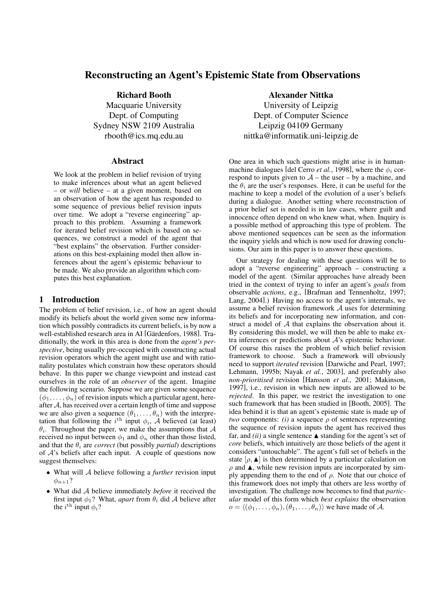# Reconstructing an Agent's Epistemic State from Observations

Richard Booth Macquarie University Dept. of Computing Sydney NSW 2109 Australia rbooth@ics.mq.edu.au

# Abstract

We look at the problem in belief revision of trying to make inferences about what an agent believed – or *will* believe – at a given moment, based on an observation of how the agent has responded to some sequence of previous belief revision inputs over time. We adopt a "reverse engineering" approach to this problem. Assuming a framework for iterated belief revision which is based on sequences, we construct a model of the agent that "best explains" the observation. Further considerations on this best-explaining model then allow inferences about the agent's epistemic behaviour to be made. We also provide an algorithm which computes this best explanation.

# 1 Introduction

The problem of belief revision, i.e., of how an agent should modify its beliefs about the world given some new information which possibly contradicts its current beliefs, is by now a well-established research area in AI [Gärdenfors, 1988]. Traditionally, the work in this area is done from the *agent's perspective*, being usually pre-occupied with constructing actual revision operators which the agent might use and with rationality postulates which constrain how these operators should behave. In this paper we change viewpoint and instead cast ourselves in the role of an *observer* of the agent. Imagine the following scenario. Suppose we are given some sequence  $(\phi_1, \ldots, \phi_n)$  of revision inputs which a particular agent, hereafter A, has received over a certain length of time and suppose we are also given a sequence  $(\theta_1, \ldots, \theta_n)$  with the interpretation that following the  $i^{\text{th}}$  input  $\phi_i$ , A believed (at least)  $\theta_i$ . Throughout the paper, we make the assumptions that  $\mathcal A$ received no input between  $\phi_1$  and  $\phi_n$  other than those listed, and that the  $\theta_i$  are *correct* (but possibly *partial*) descriptions of  $A$ 's beliefs after each input. A couple of questions now suggest themselves:

- What will A believe following a *further* revision input  $\phi_{n+1}$ ?
- What did A believe immediately *before* it received the first input  $\phi_1$ ? What, *apart* from  $\theta_i$  did A believe after the  $i^{\text{th}}$  input  $\phi_i$ ?

# Alexander Nittka

University of Leipzig Dept. of Computer Science Leipzig 04109 Germany nittka@informatik.uni-leipzig.de

One area in which such questions might arise is in humanmachine dialogues [del Cerro *et al.*, 1998], where the  $\phi_i$  correspond to inputs given to  $A$  – the user – by a machine, and the  $\theta_i$  are the user's responses. Here, it can be useful for the machine to keep a model of the evolution of a user's beliefs during a dialogue. Another setting where reconstruction of a prior belief set is needed is in law cases, where guilt and innocence often depend on who knew what, when. Inquiry is a possible method of approaching this type of problem. The above mentioned sequences can be seen as the information the inquiry yields and which is now used for drawing conclusions. Our aim in this paper is to answer these questions.

Our strategy for dealing with these questions will be to adopt a "reverse engineering" approach – constructing a model of the agent. (Similar approaches have already been tried in the context of trying to infer an agent's *goals* from observable *actions*, e.g., [Brafman and Tennenholtz, 1997; Lang, 2004].) Having no access to the agent's internals, we assume a belief revision framework  $A$  uses for determining its beliefs and for incorporating new information, and construct a model of A that explains the observation about it. By considering this model, we will then be able to make extra inferences or predictions about A's epistemic behaviour. Of course this raises the problem of which belief revision framework to choose. Such a framework will obviously need to support *iterated* revision [Darwiche and Pearl, 1997; Lehmann, 1995b; Nayak *et al.*, 2003], and preferably also *non-prioritised* revision [Hansson *et al.*, 2001; Makinson, 1997], i.e., revision in which new inputs are allowed to be *rejected*. In this paper, we restrict the investigation to one such framework that has been studied in [Booth, 2005]. The idea behind it is that an agent's epistemic state is made up of *two* components: *(i)* a sequence  $\rho$  of sentences representing the sequence of revision inputs the agent has received thus far, and *(ii)* a single sentence  $\triangle$  standing for the agent's set of *core* beliefs, which intuitively are those beliefs of the agent it considers "untouchable". The agent's full set of beliefs in the state  $[\rho, \blacktriangle]$  is then determined by a particular calculation on  $\rho$  and  $\blacktriangle$ , while new revision inputs are incorporated by simply appending them to the end of  $\rho$ . Note that our choice of this framework does not imply that others are less worthy of investigation. The challenge now becomes to find that *particular* model of this form which *best explains* the observation  $o = \langle (\phi_1, \ldots, \phi_n), (\theta_1, \ldots, \theta_n) \rangle$  we have made of A.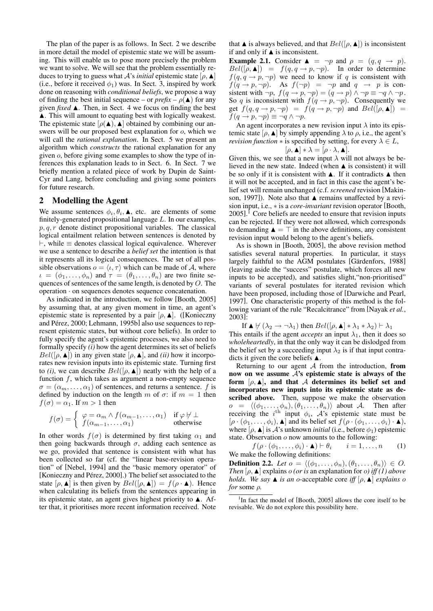The plan of the paper is as follows. In Sect. 2 we describe in more detail the model of epistemic state we will be assuming. This will enable us to pose more precisely the problem we want to solve. We will see that the problem essentially reduces to trying to guess what A's *initial* epistemic state  $[\rho, \blacktriangle]$ (i.e., before it received  $\phi_1$ ) was. In Sect. 3, inspired by work done on reasoning with *conditional beliefs*, we propose a way of finding the best initial sequence – or  $prefix - \rho(\blacktriangle)$  for any given *fixed*  $\blacktriangle$ . Then, in Sect. 4 we focus on finding the best  $\blacktriangle$ . This will amount to equating best with logically weakest. The epistemic state  $[\rho(\blacktriangle), \blacktriangle]$  obtained by combining our answers will be our proposed best explanation for o, which we will call the *rational explanation*. In Sect. 5 we present an algorithm which *constructs* the rational explanation for any given o, before giving some examples to show the type of inferences this explanation leads to in Sect. 6. In Sect. 7 we briefly mention a related piece of work by Dupin de Saint-Cyr and Lang, before concluding and giving some pointers for future research.

### 2 Modelling the Agent

We assume sentences  $\phi_i, \theta_i, \blacktriangle$ , etc. are elements of some finitely-generated propositional language L. In our examples,  $p, q, r$  denote distinct propositional variables. The classical logical entailment relation between sentences is denoted by  $\vdash$ , while  $\equiv$  denotes classical logical equivalence. Wherever we use a sentence to describe a *belief set* the intention is that it represents all its logical consequences. The set of all possible observations  $o = \langle \iota, \tau \rangle$  which can be made of A, where  $\iota = (\phi_1, \ldots, \phi_n)$  and  $\tau = (\theta_1, \ldots, \theta_n)$  are two finite sequences of sentences of the same length, is denoted by O. The operation · on sequences denotes sequence concatenation.

As indicated in the introduction, we follow [Booth, 2005] by assuming that, at any given moment in time, an agent's epistemic state is represented by a pair  $[\rho, \blacktriangle]$ . ([Konieczny and Pérez, 2000; Lehmann, 1995b] also use sequences to represent epistemic states, but without core beliefs). In order to fully specify the agent's epistemic processes, we also need to formally specify *(i)* how the agent determines its set of beliefs  $Bel([\rho, \blacktriangle])$  in any given state  $[\rho, \blacktriangle]$ , and *(ii)* how it incorporates new revision inputs into its epistemic state. Turning first to *(i)*, we can describe  $Bel([\rho, \blacktriangle])$  neatly with the help of a function  $f$ , which takes as argument a non-empty sequence  $\sigma = (\alpha_m, \dots, \alpha_1)$  of sentences, and returns a sentence. f is defined by induction on the length m of  $\sigma$ : if  $m = 1$  then  $f(\sigma) = \alpha_1$ . If  $m > 1$  then

$$
f(\sigma) = \begin{cases} \varphi = \alpha_m \wedge f(\alpha_{m-1}, \dots, \alpha_1) & \text{if } \varphi \nvdash \bot \\ f(\alpha_{m-1}, \dots, \alpha_1) & \text{otherwise} \end{cases}
$$

In other words  $f(\sigma)$  is determined by first taking  $\alpha_1$  and then going backwards through  $\sigma$ , adding each sentence as we go, provided that sentence is consistent with what has been collected so far (cf. the "linear base-revision operation" of [Nebel, 1994] and the "basic memory operator" of [Konieczny and Pérez, 2000].) The belief set associated to the state  $[\rho, \blacktriangle]$  is then given by  $Bel([\rho, \blacktriangle]) = f(\rho \cdot \blacktriangle)$ . Hence when calculating its beliefs from the sentences appearing in its epistemic state, an agent gives highest priority to  $\blacktriangle$ . After that, it prioritises more recent information received. Note

that  $\blacktriangle$  is always believed, and that  $Bel([\rho, \blacktriangle])$  is inconsistent if and only if  $\blacktriangle$  is inconsistent.

**Example 2.1.** Consider  $\triangle$  =  $\neg p$  and  $\rho = (q, q \rightarrow p)$ .  $Bel([\rho, \blacktriangle]) = f(q, q \rightarrow p, \neg p).$  In order to determine  $f(q, q \rightarrow p, \neg p)$  we need to know if q is consistent with  $f(q \rightarrow p, \neg p)$ . As  $f(\neg p) = \neg p$  and  $q \rightarrow p$  is consistent with  $\neg p$ ,  $f(q \rightarrow p, \neg p) = (q \rightarrow p) \land \neg p \equiv \neg q \land \neg p$ . So q is inconsistent with  $f(q \rightarrow p, \neg p)$ . Consequently we get  $f(q, q \rightarrow p, \neg p) = f(q \rightarrow p, \neg p)$  and  $Bel([\rho, \blacktriangle]) =$  $f(q \rightarrow p, \neg p) \equiv \neg q \land \neg p.$ 

An agent incorporates a new revision input  $\lambda$  into its epistemic state  $[\rho, \blacktriangle]$  by simply appending  $\lambda$  to  $\rho$ , i.e., the agent's *revision function*  $*$  is specified by setting, for every  $\lambda \in L$ ,

$$
[\rho, \blacktriangle] * \lambda = [\rho \cdot \lambda, \blacktriangle].
$$

Given this, we see that a new input  $\lambda$  will not always be believed in the new state. Indeed (when  $\triangle$  is consistent) it will be so only if it is consistent with  $\blacktriangle$ . If it contradicts  $\blacktriangle$  then it will not be accepted, and in fact in this case the agent's belief set will remain unchanged (c.f. *screened* revision [Makinson, 1997]). Note also that  $\blacktriangle$  remains unaffected by a revision input, i.e., ∗ is a *core-invariant* revision operator [Booth,  $2005$ ].<sup>1</sup> Core beliefs are needed to ensure that revision inputs can be rejected. If they were not allowed, which corresponds to demanding  $\triangle = \top$  in the above definitions, any consistent revision input would belong to the agent's beliefs.

As is shown in [Booth, 2005], the above revision method satisfies several natural properties. In particular, it stays largely faithful to the AGM postulates [Gärdenfors, 1988] (leaving aside the "success" postulate, which forces all new inputs to be accepted), and satisfies slight,"non-prioritised" variants of several postulates for iterated revision which have been proposed, including those of [Darwiche and Pearl, 1997]. One characteristic property of this method is the following variant of the rule "Recalcitrance" from [Nayak *et al.*, 2003]:

If  $\blacktriangle \forall (\lambda_2 \rightarrow \neg \lambda_1)$  then  $Bel([\rho, \blacktriangle] * \lambda_1 * \lambda_2) \vdash \lambda_1$ This entails if the agent *accepts* an input  $\lambda_1$ , then it does so *wholeheartedly*, in that the only way it can be dislodged from the belief set by a succeeding input  $\lambda_2$  is if that input contradicts it given the core beliefs  $\blacktriangle$ .

Returning to our agent  $A$  from the introduction, from now on we assume  $A$ 's epistemic state is always of the form  $[\rho, \blacktriangle]$ , and that A determines its belief set and incorporates new inputs into its epistemic state as described above. Then, suppose we make the observation  $o = \langle (\phi_1, \ldots, \phi_n), (\theta_1, \ldots, \theta_n) \rangle$  about A. Then after receiving the  $i^{\text{th}}$  input  $\phi_i$ ,  $\mathcal{A}$ 's epistemic state must be  $[\rho \cdot (\phi_1, \ldots, \phi_i), \blacktriangle]$  and its belief set  $f(\rho \cdot (\phi_1, \ldots, \phi_i) \cdot \blacktriangle)$ , where  $[\rho, \blacktriangle]$  is A's unknown *initial* (i.e., before  $\phi_1$ ) epistemic state. Observation  $o$  now amounts to the following:

 $f(\rho \cdot (\phi_1, \ldots, \phi_i) \cdot \blacktriangle) \vdash \theta_i \qquad i = 1, \ldots, n$  (1) We make the following definitions:

**Definition 2.2.** *Let*  $o = \langle (\phi_1, \ldots, \phi_n), (\theta_1, \ldots, \theta_n) \rangle \in O$ . *Then*  $[\rho, \blacktriangle]$  explains  $\rho$  *(or is* an explanation for  $\rho$ *) iff (1) above holds. We say*  $\blacktriangle$  *is an o*-acceptable core *iff*  $[\rho, \blacktriangle]$  *explains o for* some ρ*.*

<sup>&</sup>lt;sup>1</sup>In fact the model of [Booth, 2005] allows the core itself to be revisable. We do not explore this possibility here.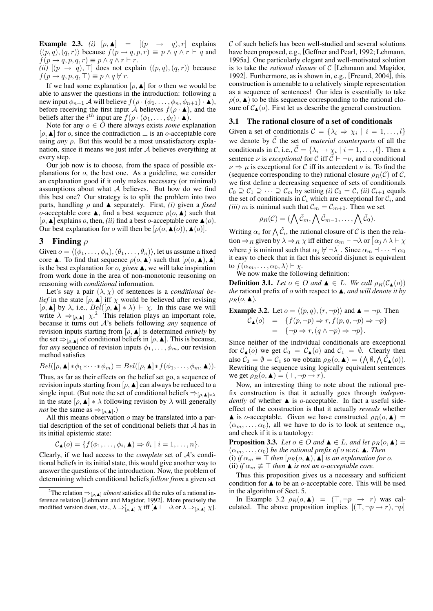**Example 2.3.** *(i)*  $[\rho, \triangle] = [(p \rightarrow q), r]$  explains  $\langle (p, q), (q, r) \rangle$  because  $f (p \rightarrow q, p, r) \equiv p \land q \land r \vdash q$  and  $f(p \rightarrow q, p, q, r) \equiv p \land q \land r \vdash r.$ *(ii)*  $[(p \rightarrow q), \top]$  does not explain  $\langle (p, q), (q, r) \rangle$  because  $f(p \rightarrow q, p, q, \top) \equiv p \land q \not\vdash r.$ 

If we had some explanation  $[\rho, \blacktriangle]$  for *o* then we would be able to answer the questions in the introduction: following a new input  $\phi_{n+1}$  A will believe  $f(\rho \cdot (\phi_1, \ldots, \phi_n, \phi_{n+1}) \cdot \blacktriangle)$ , before receiving the first input A believes  $f(\rho \cdot \blacktriangle)$ , and the beliefs after the  $i^{th}$  input are  $f(\rho \cdot (\phi_1, \ldots, \phi_i) \cdot \blacktriangle)$ .

Note for any  $o \in O$  there always exists *some* explanation [ $\rho$ , **A**] for  $o$ , since the contradiction  $\bot$  is an  $o$ -acceptable core using *any*  $\rho$ . But this would be a most unsatisfactory explanation, since it means we just infer  $A$  believes everything at every step.

Our job now is to choose, from the space of possible explanations for o, the best one. As a guideline, we consider an explanation good if it only makes necessary (or minimal) assumptions about what  $A$  believes. But how do we find this best one? Our strategy is to split the problem into two parts, handling  $\rho$  and  $\blacktriangle$  separately. First, *(i)* given a *fixed* o-acceptable core  $\blacktriangle$ , find a best sequence  $\rho$ ( $o, \blacktriangle$ ) such that  $[\rho, \blacktriangle]$  explains o, then, *(ii)* find a best o-acceptable core  $\blacktriangle$  (o). Our best explanation for o will then be  $[\rho(o, \blacktriangle(a)), \blacktriangle(a)]$ .

## 3 Finding  $\rho$

Given  $o = \langle (\phi_1, \ldots, \phi_n), (\theta_1, \ldots, \theta_n) \rangle$ , let us assume a fixed core  $\blacktriangle$ . To find that sequence  $\rho(o, \blacktriangle)$  such that  $[\rho(o, \blacktriangle), \blacktriangle]$ is the best explanation for  $o$ , *given*  $\blacktriangle$ , we will take inspiration from work done in the area of non-monotonic reasoning on reasoning with *conditional* information.

Let's say a pair  $(\lambda, \chi)$  of sentences is a *conditional belief* in the state  $[\rho, \blacktriangle]$  iff  $\chi$  would be believed after revising  $[\rho, \blacktriangle]$  by  $\lambda$ , i.e.,  $Bel([\rho, \blacktriangle] * \lambda) \vdash \chi$ . In this case we will write  $\lambda \Rightarrow_{[\rho, \blacktriangle]} \chi^2$ . This relation plays an important role, because it turns out A's beliefs following *any* sequence of revision inputs starting from  $[\rho, \blacktriangle]$  is determined *entirely* by the set  $\Rightarrow_{[0,\blacktriangle]}$  of conditional beliefs in  $[\rho, \blacktriangle]$ . This is because, for *any* sequence of revision inputs  $\phi_1, \ldots, \phi_m$ , our revision method satisfies

$$
Bel([\rho, \blacktriangle] * \phi_1 * \cdots * \phi_m) = Bel([\rho, \blacktriangle] * f(\phi_1, \ldots, \phi_m, \blacktriangle)).
$$

Thus, as far as their effects on the belief set go, a sequence of revision inputs starting from  $[\rho, \blacktriangle]$  can always be reduced to a single input. (But note the set of conditional beliefs  $\Rightarrow_{[\rho,\blacktriangle]\ast\lambda}$ in the state  $[\rho, \blacktriangle] * \lambda$  following revision by  $\lambda$  will generally *not* be the same as  $\Rightarrow_{[\rho, \blacktriangle]}$ .)

All this means observation  $\sigma$  may be translated into a partial description of the set of conditional beliefs that A has in its initial epistemic state:

$$
\mathcal{C}_{\blacktriangle}(o) = \{f(\phi_1,\ldots,\phi_i,\blacktriangle) \Rightarrow \theta_i \mid i = 1,\ldots,n\}.
$$

Clearly, if we had access to the *complete* set of A's conditional beliefs in its initial state, this would give another way to answer the questions of the introduction. Now, the problem of determining which conditional beliefs *follow from* a given set  $C$  of such beliefs has been well-studied and several solutions have been proposed, e.g., [Geffner and Pearl, 1992; Lehmann, 1995a]. One particularly elegant and well-motivated solution is to take the *rational closure* of C [Lehmann and Magidor, 1992]. Furthermore, as is shown in, e.g., [Freund, 2004], this construction is amenable to a relatively simple representation as a sequence of sentences! Our idea is essentially to take  $\rho$ ( $o$ ,  $\blacktriangle$ ) to be this sequence corresponding to the rational closure of  $\mathcal{C}_{\blacktriangle}(o)$ . First let us describe the general construction.

### 3.1 The rational closure of a set of conditionals

Given a set of conditionals  $\mathcal{C} = \{\lambda_i \Rightarrow \chi_i \mid i = 1, \dots, l\}$ we denote by  $\tilde{C}$  the set of *material counterparts* of all the conditionals in C, i.e.,  $\tilde{\mathcal{C}} = {\lambda_i \rightarrow \chi_i \mid i = 1, ..., l}.$  Then a sentence  $\nu$  is *exceptional* for C iff  $\tilde{C} \vdash \neg \nu$ , and a conditional  $\nu \Rightarrow \mu$  is exceptional for C iff its antecedent  $\nu$  is. To find the (sequence corresponding to the) rational closure  $\rho_B(\mathcal{C})$  of  $\mathcal{C}$ , we first define a decreasing sequence of sets of conditionals  $C_0 \supseteq C_1 \supseteq \cdots \supseteq C_m$  by setting *(i)*  $C_0 = C$ , *(ii)*  $C_{i+1}$  equals the set of conditionals in  $\mathcal{C}_i$  which are exceptional for  $\mathcal{C}_i$ , and *(iii)* m is minimal such that  $\mathcal{C}_m = \mathcal{C}_{m+1}$ . Then we set

$$
\rho_R(\mathcal{C}) = (\bigwedge \tilde{\mathcal{C}}_m, \bigwedge \tilde{\mathcal{C}}_{m-1}, \dots, \bigwedge \tilde{\mathcal{C}}_0).
$$

Writing  $\alpha_i$  for  $\bigwedge \tilde{C}_i$ , the rational closure of C is then the relation  $\Rightarrow_R$  given by  $\lambda \Rightarrow_R \chi$  iff either  $\alpha_m \vdash \neg \lambda$  or  $[\alpha_j \wedge \lambda \vdash \chi$ where j is minimal such that  $\alpha_j \not\vdash \neg \lambda$ . Since  $\alpha_m \dashv \cdots \dashv \alpha_0$ it easy to check that in fact this second disjunct is equivalent to  $f(\alpha_m, \ldots, \alpha_0, \lambda) \vdash \chi$ .

We now make the following definition:

**Definition 3.1.** *Let*  $o \in O$  *and*  $\blacktriangle \in L$ *. We call*  $\rho_R(C_{\blacktriangle}(o))$ *the* rational prefix of  $\sigma$  with respect to  $\blacktriangle$ , and will denote it by  $\rho_R(o, \blacktriangle)$ .

**Example 3.2.** Let  $o = \langle (p, q), (r, \neg p) \rangle$  and  $\blacktriangle = \neg p$ . Then

$$
\mathcal{C}_{\blacktriangle}(o) = \{ f(p, \neg p) \Rightarrow r, f(p, q, \neg p) \Rightarrow \neg p \}
$$
  
=  $\{ \neg p \Rightarrow r, (q \land \neg p) \Rightarrow \neg p \}.$ 

Since neither of the individual conditionals are exceptional for  $\mathcal{C}_{\blacktriangle}(o)$  we get  $\mathcal{C}_0 = \mathcal{C}_{\blacktriangle}(o)$  and  $\mathcal{C}_1 = \emptyset$ . Clearly then also  $C_2 = \emptyset = C_1$  so we obtain  $\rho_R(o, \blacktriangle) = (\bigwedge \emptyset, \bigwedge \tilde{C}_{\blacktriangle}(o)).$ Rewriting the sequence using logically equivalent sentences we get  $\rho_R(o, \blacktriangle) = (\top, \neg p \rightarrow r)$ .

Now, an interesting thing to note about the rational prefix construction is that it actually goes through *independently* of whether  $\triangle$  is *o*-acceptable. In fact a useful sideeffect of the construction is that it actually *reveals* whether  $\blacktriangle$  is o-acceptable. Given we have constructed  $\rho_R(o, \blacktriangle)$  =  $(\alpha_m, \ldots, \alpha_0)$ , all we have to do is to look at sentence  $\alpha_m$ and check if it is a tautology:

**Proposition 3.3.** *Let*  $o \in O$  *and*  $\blacktriangle \in L$ *, and let*  $\rho_B(o, \blacktriangle) =$  $(\alpha_m, \ldots, \alpha_0)$  *be the rational prefix of o w.r.t.*  $\blacktriangle$ . Then (i) *if*  $\alpha_m \equiv \top$  *then*  $[\rho_R(o, \blacktriangle), \blacktriangle]$  *is an explanation for o.* (ii) *if*  $\alpha_m \not\equiv \top$  *then*  $\blacktriangle$  *is not an o-acceptable core.* 

Thus this proposition gives us a necessary and sufficient condition for  $\blacktriangle$  to be an *o*-acceptable core. This will be used in the algorithm of Sect. 5.

In Example 3.2  $\rho_R(o, \triangle) = (\top, \neg p \rightarrow r)$  was calculated. The above proposition implies  $[(\top, \neg p \rightarrow r), \neg p]$ 

<sup>&</sup>lt;sup>2</sup>The relation  $\Rightarrow_{[\rho,\triangle]}$  *almost* satisfies all the rules of a rational inference relation [Lehmann and Magidor, 1992]. More precisely the modified version does, viz.,  $\lambda \Rightarrow_{[\rho, \blacktriangle]}' \chi$  iff  $[\blacktriangle \vdash \neg \lambda \text{ or } \lambda \Rightarrow_{[\rho, \blacktriangle]} \chi]$ .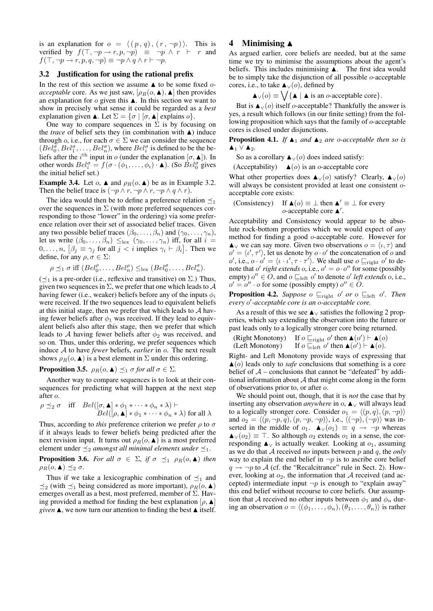is an explanation for  $o = \langle (p, q), (r, \neg p) \rangle$ . This is verified by  $f(\top, \neg p \rightarrow r, p, \neg p) \equiv \neg p \land r \vdash r$  and  $f(\top, \neg p \rightarrow r, p, q, \neg p) \equiv \neg p \land q \land r \vdash \neg p.$ 

#### 3.2 Justification for using the rational prefix

In the rest of this section we assume  $\triangle$  to be some fixed *oacceptable* core. As we just saw,  $[\rho_R(o, \blacktriangle), \blacktriangle]$  then provides an explanation for  $o$  given this  $\blacktriangle$ . In this section we want to show in precisely what sense it could be regarded as a *best* explanation given  $\blacktriangle$ . Let  $\Sigma = {\sigma | [\sigma, \blacktriangle]}$  explains  $\sigma$ .

One way to compare sequences in  $\Sigma$  is by focusing on the *trace* of belief sets they (in combination with  $\triangle$ ) induce through *o*, i.e., for each  $\sigma \in \Sigma$  we can consider the sequence  $(Bel_0^{\sigma}, Bel_1^{\sigma}, \ldots, Bel_n^{\sigma})$ , where  $Bel_i^{\sigma}$  is defined to be the be- $(Det_0, Det_1, \ldots, Det_n)$ , where  $Det_i$  is defined to be the be-<br>liefs after the  $i^{\text{th}}$  input in o (under the explanation  $[\sigma, \blacktriangle]$ ). In other words  $Bel_i^{\sigma} = f(\sigma \cdot (\phi_1, ..., \phi_i) \cdot \triangle)$ . (So  $Bel_0^{\sigma}$  gives the initial belief set.)

**Example 3.4.** Let  $o$ ,  $\blacktriangle$  and  $\rho_R(o, \blacktriangle)$  be as in Example 3.2. Then the belief trace is  $(\neg p \land r, \neg p \land r, \neg p \land q \land r)$ .

The idea would then be to define a preference relation  $\preceq_1$ over the sequences in  $\Sigma$  (with more preferred sequences corresponding to those "lower" in the ordering) via some preference relation over their set of associated belief traces. Given any two possible belief traces  $(\beta_0, \ldots, \beta_n)$  and  $(\gamma_0, \ldots, \gamma_n)$ , let us write  $(\beta_0, \ldots, \beta_n) \leq_{\text{lex}} (\gamma_0, \ldots, \gamma_n)$  iff, for all  $i =$  $0, \ldots, n, [\beta_j \equiv \gamma_j \text{ for all } j < i \text{ implies } \gamma_i \vdash \beta_i].$  Then we define, for any  $\rho, \sigma \in \Sigma$ :

$$
\rho \preceq_1 \sigma \text{ iff } (Bel_0^{\rho}, \ldots, Bel_n^{\rho}) \leq_{\text{lex}} (Bel_0^{\sigma}, \ldots, Bel_n^{\sigma}).
$$

( $\preceq_1$  is a pre-order (i.e., reflexive and transitive) on  $\Sigma$ .) Thus, given two sequences in  $\Sigma$ , we prefer that one which leads to  $\mathcal A$ having fewer (i.e., weaker) beliefs before any of the inputs  $\phi_i$ were received. If the two sequences lead to equivalent beliefs at this initial stage, then we prefer that which leads to  $A$  having fewer beliefs after  $\phi_1$  was received. If they lead to equivalent beliefs also after this stage, then we prefer that which leads to A having fewer beliefs after  $\phi_2$  was received, and so on. Thus, under this ordering, we prefer sequences which induce A to have *fewer* beliefs, *earlier* in o. The next result shows  $\rho_R(o, \blacktriangle)$  is a best element in  $\Sigma$  under this ordering.

**Proposition 3.5.**  $\rho_R(o, \blacktriangle) \preceq_1 \sigma$  *for all*  $\sigma \in \Sigma$ *.* 

Another way to compare sequences is to look at their consequences for predicting what will happen at the next step after o.

$$
\rho \preceq_2 \sigma \quad \text{iff} \quad Bel([\sigma, \blacktriangle] * \phi_1 * \cdots * \phi_n * \lambda) \vdash
$$
  

$$
Bel([\rho, \blacktriangle] * \phi_1 * \cdots * \phi_n * \lambda) \text{ for all } \lambda
$$

Thus, according to *this* preference criterion we prefer  $\rho$  to  $\sigma$ if it always leads to fewer beliefs being predicted after the next revision input. It turns out  $\rho_R(o, \blacktriangle)$  is a most preferred element under  $\preceq_2$  *amongst all minimal elements under*  $\preceq_1$ .

**Proposition 3.6.** *For all*  $\sigma \in \Sigma$ , *if*  $\sigma \preceq_1 \rho_R(o, \blacktriangle)$  *then*  $\rho_R(o, \blacktriangle) \preceq_2 \sigma$ .

Thus if we take a lexicographic combination of  $\preceq_1$  and  $\preceq_2$  (with  $\preceq_1$  being considered as more important),  $\rho_R(o, \blacktriangle)$ emerges overall as a best, most preferred, member of  $\Sigma$ . Having provided a method for finding the best explanation  $[\rho, \blacktriangle]$ *given*  $\blacktriangle$ , we now turn our attention to finding the best  $\blacktriangle$  itself.

# 4 Minimising  $\triangle$

As argued earlier, core beliefs are needed, but at the same time we try to minimise the assumptions about the agent's beliefs. This includes minimising  $\blacktriangle$ . The first idea would be to simply take the disjunction of all possible o-acceptable cores, i.e., to take  $\blacktriangle$  √(*o*), defined by

 $\blacktriangle_{\vee}(o) \equiv \bigvee \{ \blacktriangle \mid \blacktriangle \text{ is an } o\text{-acceptable core} \}.$ 

But is  $\blacktriangle$  √(o) itself o-acceptable? Thankfully the answer is yes, a result which follows (in our finite setting) from the following proposition which says that the family of o-acceptable cores is closed under disjunctions.

**Proposition 4.1.** *If*  $\blacktriangle_1$  *and*  $\blacktriangle_2$  *are o*-*acceptable then so is* **A**<sub>1</sub> ∨ **A**<sub>2</sub>.

So as a corollary  $\blacktriangle$  √(o) does indeed satisfy:

(Acceptability)  $\blacktriangle$  (*o*) is an *o*-acceptable core

What other properties does  $\blacktriangle_{\vee}(o)$  satisfy? Clearly,  $\blacktriangle_{\vee}(o)$ will always be consistent provided at least one consistent  $o$ acceptable core exists:

(Consistency) If 
$$
\triangle(o) \equiv \perp
$$
 then  $\triangle' \equiv \perp$  for every   
*o*-acceptable core  $\triangle'$ .

Acceptability and Consistency would appear to be absolute rock-bottom properties which we would expect of *any* method for finding a good o-acceptable core. However for  $\blacktriangle$  we can say more. Given two observations  $o = \langle \iota, \tau \rangle$  and  $o' = \langle v', \tau' \rangle$ , let us denote by  $o \cdot o'$  the concatenation of  $o$  and  $o'$ , i.e.,  $o \cdot o' = \langle \iota \cdot \iota', \tau \cdot \tau' \rangle$ . We shall use  $o \sqsubseteq_{\text{right}} o'$  to denote that o' right extends o, i.e.,  $o' = o \cdot o''$  for some (possibly empty)  $o'' \in O$ , and  $o \sqsubseteq_{\text{left}} o'$  to denote  $o'$  *left extends*  $o$ , i.e.,  $o' = o'' \cdot o$  for some (possibly empty)  $o'' \in O$ .

**Proposition 4.2.** Suppose  $o \sqsubseteq_{\text{right}} o'$  or  $o \sqsubseteq_{\text{left}} o'$ . Then *every* o 0 *-acceptable core is an* o*-acceptable core.*

As a result of this we see  $\triangle$  v satisfies the following 2 properties, which say extending the observation into the future or past leads only to a logically stronger core being returned.

(Right Monotony) ' then  $\blacktriangle$  (o')  $\vdash \blacktriangle$  (o) (Left Monotony) ' then  $\blacktriangle(\vec{o}') \vdash \blacktriangle(\vec{o})$ .

Right- and Left Monotony provide ways of expressing that  $\triangle$ (*o*) leads only to *safe* conclusions that something is a core belief of  $A$  – conclusions that cannot be "defeated" by additional information about  $A$  that might come along in the form of observations prior to, or after o.

We should point out, though, that it is *not* the case that by inserting any observation *anywhere* in o, **A**∨ will always lead to a logically stronger core. Consider  $o_1 = \langle (p, q), (p, \neg p) \rangle$ and  $o_2 = \langle (p, \neg p, q), (p, \neg p, \neg p) \rangle$ , i.e.,  $\langle (\neg p), (\neg p) \rangle$  was inserted in the middle of  $o_1$ .  $\blacktriangle \vee (o_1) \equiv q \rightarrow \neg p$  whereas  $\blacktriangle_{\vee}(o_2) \equiv \top$ . So although  $o_2$  extends  $o_1$  in a sense, the corresponding  $\blacktriangle$  √ is actually weaker. Looking at  $o_1$ , assuming as we do that A received *no* inputs between p and q, the *only* way to explain the end belief in  $\neg p$  is to ascribe core belief  $q \rightarrow \neg p$  to A (cf. the "Recalcitrance" rule in Sect. 2). However, looking at  $o_2$ , the information that A received (and accepted) intermediate input  $\neg p$  is enough to "explain away" this end belief without recourse to core beliefs. Our assumption that A received no other inputs between  $\phi_1$  and  $\phi_n$  during an observation  $o = \langle (\phi_1, \ldots, \phi_n), (\theta_1, \ldots, \theta_n) \rangle$  is rather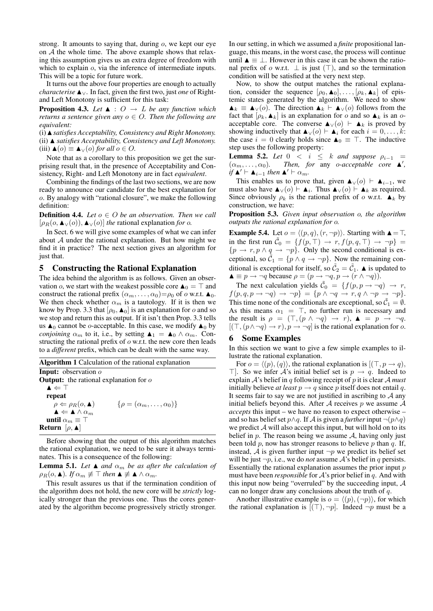strong. It amounts to saying that, during o, we kept our eye on A the whole time. The above example shows that relaxing this assumption gives us an extra degree of freedom with which to explain *o*, via the inference of intermediate inputs. This will be a topic for future work.

It turns out the above four properties are enough to actually *characterise* **A**∨. In fact, given the first two, just *one* of Rightand Left Monotony is sufficient for this task:

**Proposition 4.3.** Let  $\blacktriangle$  :  $\bigcirc \rightarrow L$  be any function which *returns a sentence given any*  $o \in O$ . Then the following are *equivalent:*

(i)  $\triangle$  *satisfies Acceptability, Consistency and Right Monotony.* (ii) N *satisfies Acceptability, Consistency and Left Monotony.* (iii)  $\blacktriangle$  (*o*)  $\equiv \blacktriangle$  \video (*o*) *for all*  $o \in O$ .

Note that as a corollary to this proposition we get the surprising result that, in the presence of Acceptability and Consistency, Right- and Left Monotony are in fact *equivalent*.

Combining the findings of the last two sections, we are now ready to announce our candidate for the best explanation for o. By analogy with "rational closure", we make the following definition:

**Definition 4.4.** *Let*  $o \in O$  *be an observation. Then we call*  $[\rho_R(o, \blacktriangle_V(o)), \blacktriangle_V(o)]$  *the* rational explanation *for o*.

In Sect. 6 we will give some examples of what we can infer about  $A$  under the rational explanation. But how might we find it in practice? The next section gives an algorithm for just that.

### 5 Constructing the Rational Explanation

The idea behind the algorithm is as follows. Given an observation o, we start with the weakest possible core  $\triangle_0 = \top$  and construct the rational prefix  $(\alpha_m, \dots, \alpha_0) = \rho_0$  of o w.r.t.  $\blacktriangle_0$ . We then check whether  $\alpha_m$  is a tautology. If it is then we know by Prop. 3.3 that  $[\rho_0, \blacktriangle_0]$  is an explanation for  $o$  and so we stop and return this as output. If it isn't then Prop. 3.3 tells us  $\blacktriangle_0$  cannot be *o*-acceptable. In this case, we modify  $\blacktriangle_0$  by *conjoining*  $\alpha_m$  to it, i.e., by setting  $\blacktriangle_1 = \blacktriangle_0 \wedge \alpha_m$ . Constructing the rational prefix of  $\sigma$  w.r.t. the new core then leads to a *different* prefix, which can be dealt with the same way.

Algorithm 1 Calculation of the rational explanation Input: observation o **Output:** the rational explanation for  $o$  $\blacktriangle \Leftarrow \top$ repeat  $\rho \Leftarrow \rho_R(o, \blacktriangle)$  { $\rho = (\alpha_m, \ldots, \alpha_0)$ }  $\blacktriangle \Leftarrow \blacktriangle \wedge \alpha_m$ until  $\alpha_m \equiv \top$ Return  $[\rho, \blacktriangle]$ 

Before showing that the output of this algorithm matches the rational explanation, we need to be sure it always terminates. This is a consequence of the following:

**Lemma 5.1.** *Let*  $\blacktriangle$  *and*  $\alpha_m$  *be as after the calculation of*  $\rho_R(o, \blacktriangle)$ *. If*  $\alpha_m \not\equiv \top$  *then*  $\blacktriangle \not\equiv \blacktriangle \wedge \alpha_m$ *.* 

This result assures us that if the termination condition of the algorithm does not hold, the new core will be *strictly* logically stronger than the previous one. Thus the cores generated by the algorithm become progressively strictly stronger. In our setting, in which we assumed a *finite* propositional language, this means, in the worst case, the process will continue until  $\blacktriangle$  ≡ ⊥. However in this case it can be shown the rational prefix of  $o$  w.r.t.  $\perp$  is just  $(\top)$ , and so the termination condition will be satisfied at the very next step.

Now, to show the output matches the rational explanation, consider the sequence  $[\rho_0, \blacktriangle_0], \ldots, [\rho_k, \blacktriangle_k]$  of epistemic states generated by the algorithm. We need to show  $\blacktriangle_k \equiv \blacktriangle_{\vee}(o)$ . The direction  $\blacktriangle_k \vdash \blacktriangle_{\vee}(o)$  follows from the fact that  $[\rho_k, \blacktriangle_k]$  is an explanation for o and so  $\blacktriangle_k$  is an oacceptable core. The converse  $\blacktriangle$ <sub>∨</sub>(*o*)  $\vdash$   $\blacktriangle$ <sub>k</sub> is proved by showing inductively that  $\blacktriangle$ <sub>∨</sub>(*o*)  $\vdash$   $\blacktriangle$ <sub>*i*</sub> for each  $i = 0, \ldots, k$ : the case  $i = 0$  clearly holds since  $\triangle_0 \equiv \top$ . The inductive step uses the following property:

**Lemma 5.2.** *Let*  $0 \lt i \lt k$  *and suppose*  $\rho_{i-1}$  =  $(\alpha_m, \ldots, \alpha_0)$ . Then, for any o-acceptable core  $\blacktriangle'$ , *if*  $\mathbf{A}' \vdash \mathbf{A}_{i-1}$  *then*  $\mathbf{A}' \vdash \alpha_m$ *.* 

This enables us to prove that, given  $\blacktriangle_{\vee}(o) \vdash \blacktriangle_{i-1}$ , we must also have  $\blacktriangle_{\vee}(o) \models \blacktriangle_i$ . Thus  $\blacktriangle_{\vee}(o) \models \blacktriangle_k$  as required. Since obviously  $\rho_k$  is the rational prefix of  $\sigma$  w.r.t.  $\blacktriangle_k$  by construction, we have:

Proposition 5.3. *Given input observation* o*, the algorithm outputs the rational explanation for* o*.*

**Example 5.4.** Let  $o = \langle (p, q), (r, \neg p) \rangle$ . Starting with  $\triangle = \top$ , in the first run  $\tilde{C}_0 = \{f(p, \top) \to r, f(p, q, \top) \to \neg p\}$  $\{p \to r, p \land q \to \neg p\}$ . Only the second conditional is exceptional, so  $\tilde{C}_1 = \{p \land q \rightarrow \neg p\}$ . Now the remaining conditional is exceptional for itself, so  $\tilde{C}_2 = \tilde{C}_1$ .  $\blacktriangle$  is updated to  $\blacktriangle \equiv p \rightarrow \neg q$  because  $\rho = (p \rightarrow \neg q, p \rightarrow (r \land \neg q)).$ 

The next calculation yields  $\tilde{C}_0 = \{f(p, p \rightarrow \neg q) \rightarrow r,$  $f(p,q,p \to \neg q) \to \neg p$ } = { $p \land \neg q \to r, q \land \neg p \to \neg p$ }. This time none of the conditionals are exceptional, so  $\tilde{C}_1 = \emptyset$ . As this means  $\alpha_1 = \top$ , no further run is necessary and the result is  $\rho = (\top, (p \land \neg q) \rightarrow r), \blacktriangle = p \rightarrow \neg q.$  $[(\top,(p\land\neg q)\rightarrow r), p\rightarrow\neg q]$  is the rational explanation for o.

# 6 Some Examples

In this section we want to give a few simple examples to illustrate the rational explanation.

For  $o = \langle (p), (q) \rangle$ , the rational explanation is  $[(\top, p \rightarrow q),$  $\top$ . So we infer A's initial belief set is  $p \rightarrow q$ . Indeed to explain  $A$ 's belief in q following receipt of p it is clear  $A$  must initially believe *at least*  $p \rightarrow q$  since p itself does not entail q. It seems fair to say we are not justified in ascribing to  $A$  any initial beliefs beyond this. After  $A$  receives  $p$  we assume  $A$ *accepts* this input – we have no reason to expect otherwise – and so has belief set  $p \land q$ . If A is given a *further* input  $\neg (p \land q)$ we predict  $A$  will also accept this input, but will hold on to its belief in  $p$ . The reason being we assume  $A$ , having only just been told p, now has stronger reasons to believe p than q. If, instead, A is given further input  $\neg p$  we predict its belief set will be just  $\neg p$ , i.e., we do *not* assume A's belief in q persists. Essentially the rational explanation assumes the prior input  $p$ must have been *responsible* for  $A$ 's prior belief in q. And with this input now being "overruled" by the succeeding input,  $A$ can no longer draw any conclusions about the truth of q.

Another illustrative example is  $o = \langle (p),(\neg p) \rangle$ , for which the rational explanation is  $[(\top), \neg p]$ . Indeed  $\neg p$  must be a